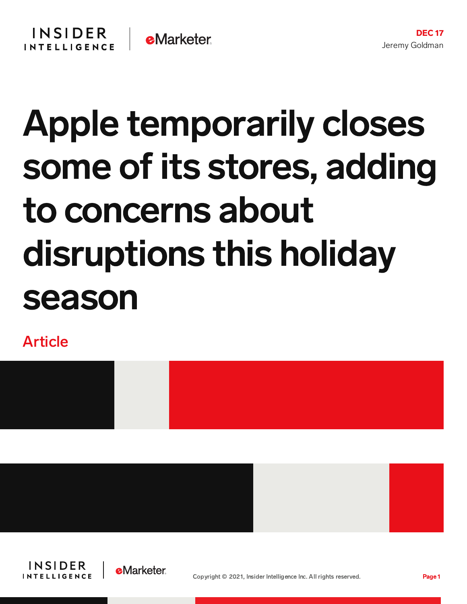## Apple temporarily closes some of its stores, adding to concerns about disruptions this holiday season

Article







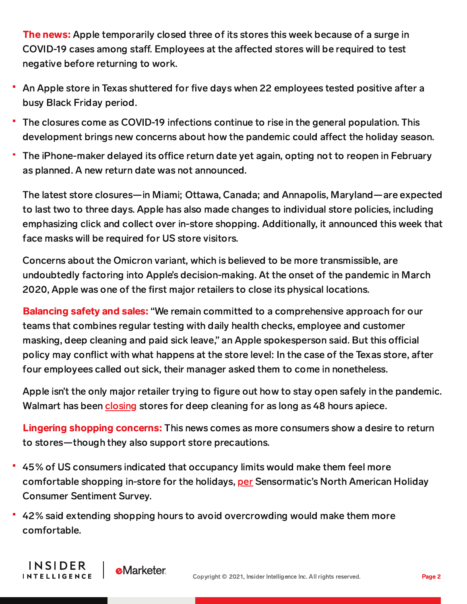The news: Apple temporarily closed three of its stores this week because of a surge in COVID-19 cases among staff. Employees at the affected stores will be required to test negative before returning to work.

- An Apple store in Texas shuttered for five days when 22 employees tested positive after a busy Black Friday period.
- The closures come as COVID-19 infections continue to rise in the general population. This development brings new concerns about how the pandemic could affect the holiday season.
- The iPhone-maker delayed its office return date yet again, opting not to reopen in February as planned. A new return date was not announced.

The latest store closures—in Miami; Ottawa, Canada; and Annapolis, Maryland—are expected to last two to three days. Apple has also made changes to individual store policies, including emphasizing click and collect over in-store shopping. Additionally, it announced this week that face masks will be required for US store visitors.

Concerns about the Omicron variant, which is believed to be more transmissible, are undoubtedly factoring into Apple's decision-making. At the onset of the pandemic in March 2020, Apple was one of the first major retailers to close its physical locations.

Balancing safety and sales: "We remain committed to a comprehensive approach for our teams that combines regular testing with daily health checks, employee and customer masking, deep cleaning and paid sick leave," an Apple spokesperson said. But this official policy may conflict with what happens at the store level: In the case of the Texas store, after four employees called out sick, their manager asked them to come in nonetheless.

Apple isn't the only major retailer trying to figure out how to stay open safely in the pandemic. Walmart has been [closing](https://www.eatthis.com/news-walmart-closing-stores-december-2021/) stores for deep cleaning for as long as 48 hours apiece.

Lingering shopping concerns: This news comes as more consumers show a desire to return to stores—though they also support store precautions.

- 45% of US consumers indicated that occupancy limits would make them feel more comfortable shopping in-store for the holidays, [per](https://losspreventionmedia.com/sensormatic-survey-shows-in-store-shopping-is-making-a-comeback/) Sensormatic's North American Holiday Consumer Sentiment Survey.
- 42% said extending shopping hours to avoid overcrowding would make them more comfortable.